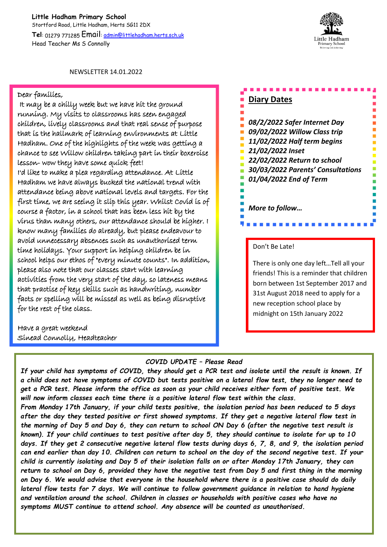**Little Hadham Primary School** Stortford Road, Little Hadham, Herts SG11 2DX **Tel**: 01279 771285 Email: admin@littlehadham.herts.sch.uk Head Teacher Ms S Connolly



NEWSLETTER 14.01.2022

## Dear families,

 It may be a chilly week but we have hit the ground running. My visits to classrooms has seen engaged children, lively classrooms and that real sense of purpose that is the hallmark of learning environments at Little Hadham. One of the highlights of the week was getting a chance to see Willow children taking part in their boxercise lesson- wow they have some quick feet! I'd like to make a plea regarding attendance. At Little Hadham we have always bucked the national trend with attendance being above national levels and targets. For the first time, we are seeing it slip this year. Whilst Covid is of course a factor, in a school that has been less hit by the virus than many others, our attendance should be higher. I know many families do already, but please endeavour to avoid unnecessary absences such as unauthorised term time holidays. Your support in helping children be in school helps our ethos of "every minute counts". In addition, please also note that our classes start with learning activities from the very start of the day, so lateness means that practise of key skills such as handwriting, number facts or spelling will be missed as well as being disruptive for the rest of the class.

Have a great weekend Sinead Connolly, Headteacher

## *COVID UPDATE – Please Read*

*If your child has symptoms of COVID, they should get a PCR test and isolate until the result is known. If a child does not have symptoms of COVID but tests positive on a lateral flow test, they no longer need to get a PCR test. Please inform the office as soon as your child receives either form of positive test. We will now inform classes each time there is a positive lateral flow test within the class.* 

*From Monday 17th January, if your child tests positive, the isolation period has been reduced to 5 days after the day they tested positive or first showed symptoms. If they get a negative lateral flow test in the morning of Day 5 and Day 6, they can return to school ON Day 6 (after the negative test result is known). If your child continues to test positive after day 5, they should continue to isolate for up to 10 days. If they get 2 consecutive negative lateral flow tests during days 6, 7, 8, and 9, the isolation period can end earlier than day 10. Children can return to school on the day of the second negative test. If your child is currently isolating and Day 5 of their isolation falls on or after Monday 17th January, they can return to school on Day 6, provided they have the negative test from Day 5 and first thing in the morning on Day 6. We would advise that everyone in the household where there is a positive case should do daily lateral flow tests for 7 days. We will continue to follow government guidance in relation to hand hygiene and ventilation around the school. Children in classes or households with positive cases who have no symptoms MUST continue to attend school. Any absence will be counted as unauthorised.*

## **Diary Dates**

*08/2/2022 Safer Internet Day 09/02/2022 Willow Class trip 11/02/2022 Half term begins 21/02/2022 Inset 22/02/2022 Return to school 30/03/2022 Parents' Consultations 01/04/2022 End of Term* 

*More to follow…*

## Don't Be Late!

There is only one day left…Tell all your friends! This is a reminder that children born between 1st September 2017 and 31st August 2018 need to apply for a new reception school place by midnight on 15th January 2022